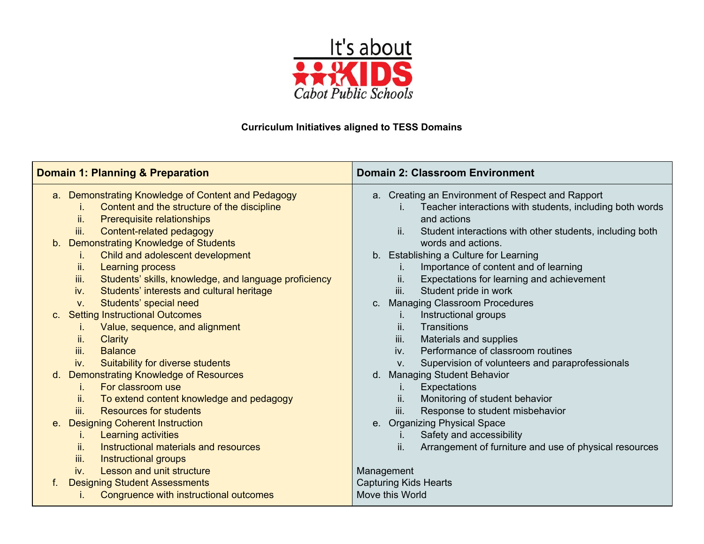

## **Curriculum Initiatives aligned to TESS Domains**

| <b>Domain 1: Planning &amp; Preparation</b>                                                                                                                                                                                                                                                         | <b>Domain 2: Classroom Environment</b>                                                                                                                                                                                                                                                       |  |  |
|-----------------------------------------------------------------------------------------------------------------------------------------------------------------------------------------------------------------------------------------------------------------------------------------------------|----------------------------------------------------------------------------------------------------------------------------------------------------------------------------------------------------------------------------------------------------------------------------------------------|--|--|
| a. Demonstrating Knowledge of Content and Pedagogy<br>Content and the structure of the discipline<br>ı.<br>Prerequisite relationships<br>ii.<br>Content-related pedagogy<br>iii.<br>b. Demonstrating Knowledge of Students                                                                          | a. Creating an Environment of Respect and Rapport<br>Teacher interactions with students, including both words<br>i.<br>and actions<br>Student interactions with other students, including both<br>ii.<br>words and actions.                                                                  |  |  |
| Child and adolescent development<br>Ъ.<br>ii.<br><b>Learning process</b><br>Students' skills, knowledge, and language proficiency<br>iii.<br>Students' interests and cultural heritage<br>iv.<br>Students' special need<br>$V_{\cdot}$                                                              | b. Establishing a Culture for Learning<br>Importance of content and of learning<br>Expectations for learning and achievement<br>ii.<br>Student pride in work<br>iii.<br><b>Managing Classroom Procedures</b><br>C.                                                                           |  |  |
| c. Setting Instructional Outcomes<br>Value, sequence, and alignment<br>ii.<br><b>Clarity</b><br>iii.<br><b>Balance</b><br>Suitability for diverse students<br>iv.                                                                                                                                   | Instructional groups<br>I.<br>ii.<br>Transitions<br>iii.<br>Materials and supplies<br>Performance of classroom routines<br>iv.<br>Supervision of volunteers and paraprofessionals<br>V.                                                                                                      |  |  |
| <b>Demonstrating Knowledge of Resources</b><br>$d_{\cdot}$<br>For classroom use<br>L.<br>ii.<br>To extend content knowledge and pedagogy<br>iii.<br><b>Resources for students</b><br>e. Designing Coherent Instruction<br>Learning activities<br>Ĺ.<br>Instructional materials and resources<br>ii. | <b>Managing Student Behavior</b><br>d.<br>Expectations<br>İ.<br>ii.<br>Monitoring of student behavior<br>Response to student misbehavior<br>III.<br><b>Organizing Physical Space</b><br>$e_{1}$<br>Safety and accessibility<br>Arrangement of furniture and use of physical resources<br>ii. |  |  |
| iii.<br>Instructional groups<br>Lesson and unit structure<br>iv.<br><b>Designing Student Assessments</b><br>Congruence with instructional outcomes                                                                                                                                                  | Management<br><b>Capturing Kids Hearts</b><br>Move this World                                                                                                                                                                                                                                |  |  |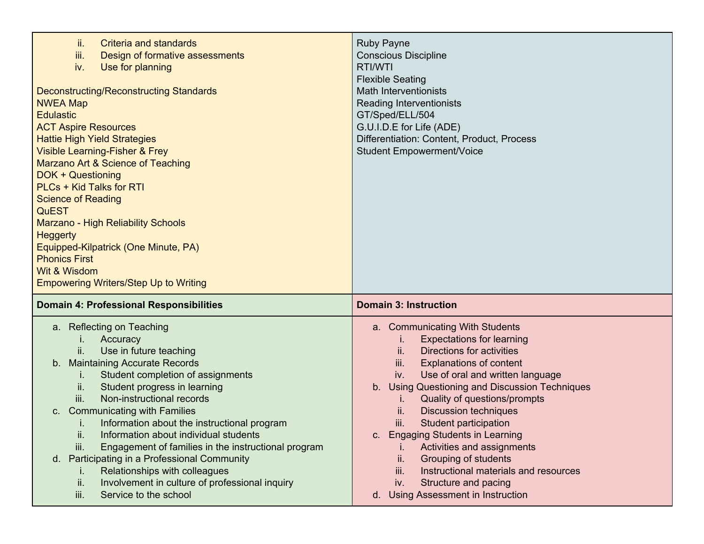| ii.<br>Criteria and standards<br>iii.<br>Design of formative assessments<br>iv.<br>Use for planning<br><b>Deconstructing/Reconstructing Standards</b><br><b>NWEA Map</b><br><b>Edulastic</b><br><b>ACT Aspire Resources</b><br><b>Hattie High Yield Strategies</b><br><b>Visible Learning-Fisher &amp; Frey</b><br>Marzano Art & Science of Teaching<br>DOK + Questioning<br>PLCs + Kid Talks for RTI<br><b>Science of Reading</b><br><b>QuEST</b><br>Marzano - High Reliability Schools<br><b>Heggerty</b><br>Equipped-Kilpatrick (One Minute, PA)<br><b>Phonics First</b><br>Wit & Wisdom<br><b>Empowering Writers/Step Up to Writing</b>                                                    | <b>Ruby Payne</b><br><b>Conscious Discipline</b><br>RTI/WTI<br><b>Flexible Seating</b><br><b>Math Interventionists</b><br>Reading Interventionists<br>GT/Sped/ELL/504<br>G.U.I.D.E for Life (ADE)<br>Differentiation: Content, Product, Process<br><b>Student Empowerment/Voice</b>                                                                                                                                                                                                                                                                                                                                                                |
|------------------------------------------------------------------------------------------------------------------------------------------------------------------------------------------------------------------------------------------------------------------------------------------------------------------------------------------------------------------------------------------------------------------------------------------------------------------------------------------------------------------------------------------------------------------------------------------------------------------------------------------------------------------------------------------------|----------------------------------------------------------------------------------------------------------------------------------------------------------------------------------------------------------------------------------------------------------------------------------------------------------------------------------------------------------------------------------------------------------------------------------------------------------------------------------------------------------------------------------------------------------------------------------------------------------------------------------------------------|
| <b>Domain 4: Professional Responsibilities</b><br><b>Reflecting on Teaching</b><br>a.<br>Accuracy<br>ii.<br>Use in future teaching<br><b>Maintaining Accurate Records</b><br>b.<br>Student completion of assignments<br>L.<br>Student progress in learning<br>ii.<br>iii.<br>Non-instructional records<br><b>Communicating with Families</b><br>C.<br>Information about the instructional program<br>Information about individual students<br>ii.<br>iii.<br>Engagement of families in the instructional program<br>Participating in a Professional Community<br>d.<br>Relationships with colleagues<br>Involvement in culture of professional inquiry<br>ii.<br>iii.<br>Service to the school | <b>Domain 3: Instruction</b><br>a. Communicating With Students<br><b>Expectations for learning</b><br>ii.<br>Directions for activities<br>iii.<br><b>Explanations of content</b><br>Use of oral and written language<br>iv.<br><b>Using Questioning and Discussion Techniques</b><br>b <sub>1</sub><br>Quality of questions/prompts<br>Τ.<br><b>Discussion techniques</b><br>ii.<br>iii.<br>Student participation<br><b>Engaging Students in Learning</b><br>C.<br>Activities and assignments<br>Grouping of students<br>ii.<br>Instructional materials and resources<br>iii.<br>Structure and pacing<br>iv.<br>d. Using Assessment in Instruction |